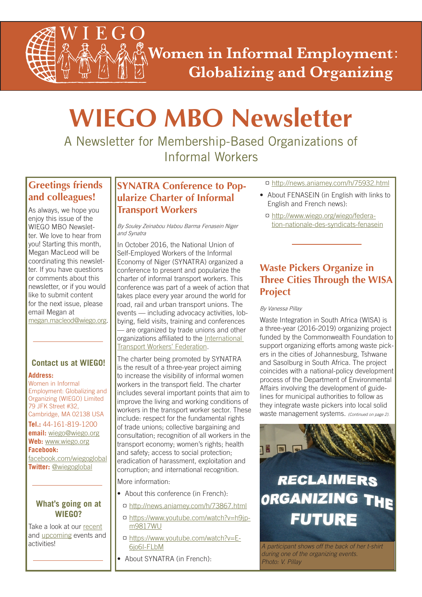**Women in Informal Employment: Globalizing and Organizing** 

# **WIEGO MBO Newsletter**

A Newsletter for Membership-Based Organizations of Informal Workers

### **Greetings friends and colleagues!**

E

As always, we hope you enjoy this issue of the WIEGO MBO Newsletter. We love to hear from you! Starting this month, Megan MacLeod will be coordinating this newsletter. If you have questions or comments about this newsletter, or if you would like to submit content for the next issue, please email Megan at

megan.macleod@wiego.org.

# **Contact us at WIEGO!**

### **Address:**

Women in Informal Employment: Globalizing and Organizing (WIEGO) Limited 79 JFK Street #32, Cambridge, MA 02138 USA

**Tel.:** 44-161-819-1200 **email:** wiego@wiego.org **Web:** www.wiego.org **Facebook:**

[facebook.com/wiegoglobal](https://www.facebook.com/wiegoglobal) **Twitter:** [@wiegoglobal](https://twitter.com/wiegoglobal)

### **What's going on at WIEGO?**

Take a look at our [recent](http://www.wiego.org/news-events/archive) and [upcoming](http://www.wiego.org/events) events and

### **SYNATRA Conference to Popularize Charter of Informal Transport Workers**

By Souley Zeinabou Habou Barma Fenasein Niger and Synatra

In October 2016, the National Union of Self-Employed Workers of the Informal Economy of Niger (SYNATRA) organized a conference to present and popularize the charter of informal transport workers. This conference was part of a week of action that takes place every year around the world for road, rail and urban transport unions. The events — including advocacy activities, lobbying, field visits, training and conferences — are organized by trade unions and other [organizations affiliated to the International](http://www.itfglobal.org/fr/africa/) Transport Workers' Federation.

The charter being promoted by SYNATRA is the result of a three-year project aiming to increase the visibility of informal women workers in the transport field. The charter includes several important points that aim to improve the living and working conditions of workers in the transport worker sector. These include: respect for the fundamental rights of trade unions; collective bargaining and consultation; recognition of all workers in the transport economy; women's rights; health and safety; access to social protection; eradication of harassment, exploitation and corruption; and international recognition.

More information:

- About this conference (in French):
- ¤ http://news.aniamey.com/h/73867.html
- ¤ [https://www.youtube.com/watch?v=h9jp](https://www.youtube.com/watch?v=h9jpm9817WU)m9817WU
- ¤ [https://www.youtube.com/watch?v=E-](https://www.youtube.com/watch?v=E6jo6I-FLbM)6jo6I-FLbM activities!<br><sup>6</sup> 6io6l-FLbM<br>**A participant shows off the back of her t-shirt** 
	- About SYNATRA (in French):

¤ http://news.aniamey.com/h/75932.html

- About FENASEIN (in English with links to English and French news):
	- ¤ http://www.wiego.org/wiego/federa[tion-nationale-des-syndicats-fenasein](http://www.wiego.org/wiego/federation-nationale-des-syndicats-fenasein)

# **Waste Pickers Organize in Three Cities Through the WISA Project**

### By Vanessa Pillay

Waste Integration in South Africa (WISA) is a three-year (2016-2019) organizing project funded by the Commonwealth Foundation to support organizing efforts among waste pickers in the cities of Johannesburg, Tshwane and Sasolburg in South Africa. The project coincides with a national-policy development process of the Department of Environmental Affairs involving the development of guidelines for municipal authorities to follow as they integrate waste pickers into local solid waste management systems. *(Continued on page 2).*



# **RECLAIMERS** ORGANIZING THE **FUTURE**

*during one of the organizing events. Photo: V. Pillay*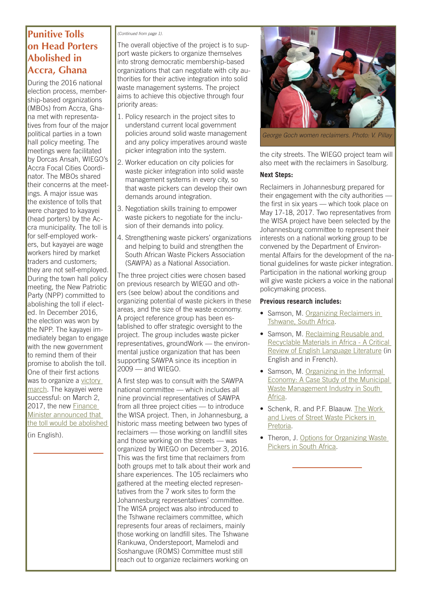## **Punitive Tolls on Head Porters Abolished in Accra, Ghana**

During the 2016 national election process, membership-based organizations (MBOs) from Accra, Ghana met with representatives from four of the major political parties in a town hall policy meeting. The meetings were facilitated by Dorcas Ansah, WIEGO's Accra Focal Cities Coordinator. The MBOs shared their concerns at the meetings. A major issue was the existence of tolls that were charged to kayayei (head porters) by the Accra municipality. The toll is for self-employed workers, but kayayei are wage workers hired by market traders and customers; they are not self-employed. During the town hall policy meeting, the New Patriotic Party (NPP) committed to abolishing the toll if elected. In December 2016, the election was won by the NPP. The kayayei immediately began to engage with the new government to remind them of their promise to abolish the toll. One of their first actions was to organize a victory march. The kayayei were successful: on March 2, 2017, the new Finance Minister announced that [the toll would be abolished](http://www.wiego.org/news/kayayei-react-abolishment-levies) 

(in English).

#### *(Continued from page 1).*

The overall objective of the project is to support waste pickers to organize themselves into strong democratic membership-based organizations that can negotiate with city authorities for their active integration into solid waste management systems. The project aims to achieve this objective through four priority areas:

- 1. Policy research in the project sites to understand current local government policies around solid waste management and any policy imperatives around waste picker integration into the system.
- 2. Worker education on city policies for waste picker integration into solid waste management systems in every city, so that waste pickers can develop their own demands around integration.
- 3. Negotiation skills training to empower waste pickers to negotiate for the inclusion of their demands into policy.
- 4. Strengthening waste pickers' organizations and helping to build and strengthen the South African Waste Pickers Association (SAWPA) as a National Association.

The three project cities were chosen based on previous research by WIEGO and others (see below) about the conditions and organizing potential of waste pickers in these areas, and the size of the waste economy. A project reference group has been established to offer strategic oversight to the project. The group includes waste picker representatives, groundWork — the environmental justice organization that has been supporting SAWPA since its inception in 2009 — and WIEGO.

A first step was to consult with the SAWPA national committee — which includes all nine provincial representatives of SAWPA from all three project cities — to introduce the WISA project. Then, in Johannesburg, a historic mass meeting between two types of reclaimers — those working on landfill sites and those working on the streets — was organized by WIEGO on December 3, 2016. This was the first time that reclaimers from both groups met to talk about their work and share experiences. The 105 reclaimers who gathered at the meeting elected representatives from the 7 work sites to form the Johannesburg representatives' committee. The WISA project was also introduced to the Tshwane reclaimers committee, which represents four areas of reclaimers, mainly those working on landfill sites. The Tshwane Rankuwa, Onderstepoort, Mamelodi and Soshanguve (ROMS) Committee must still reach out to organize reclaimers working on



*George Goch women reclaimers. Photo: V. Pillay*

the city streets. The WIEGO project team will also meet with the reclaimers in Sasolburg.

### **Next Steps:**

Reclaimers in Johannesburg prepared for their engagement with the city authorities the first in six years — which took place on May 17-18, 2017. Two representatives from the WISA project have been selected by the Johannesburg committee to represent their interests on a national working group to be convened by the Department of Environmental Affairs for the development of the national guidelines for waste picker integration. Participation in the national working group will give waste pickers a voice in the national policymaking process.

### **Previous research includes:**

- Samson, M. Organizing Reclaimers in Tshwane, South Africa.
- Samson, M. Reclaiming Reusable and [Recyclable Materials in Africa - A Critical](http://www.wiego.org/sites/wiego.org/files/publications/files/Samson_WIEGO_WP16.pdf)  Review of English Language Literature (in English and in French).
- Samson, M. Organizing in the Informal [Economy: A Case Study of the Municipal](http://www.ilo.org/wcmsp5/groups/public/---ed_emp/---emp_ent/---ifp_seed/documents/publication/wcms_093980.pdf)  Waste Management Industry in South Africa.
- [Schenk, R. and P.F. Blaauw. The Work](https://link.springer.com/article/10.1007/s12132-011-9125-x) and Lives of Street Waste Pickers in Pretoria.
- Theron, J. Options for Organizing Waste Pickers in South Africa.